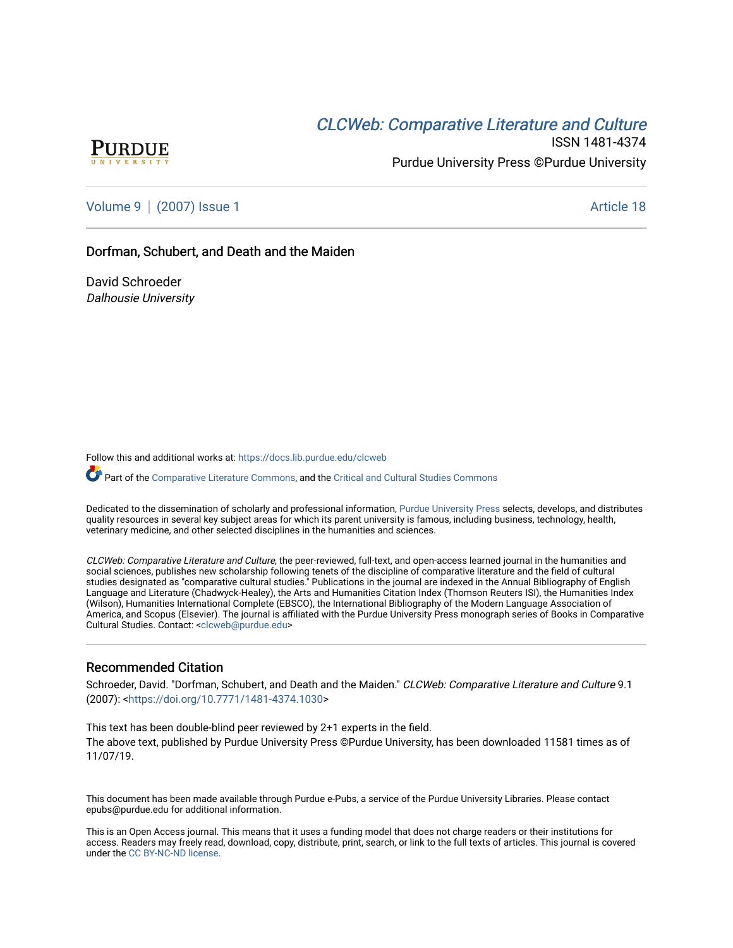# CLCW[eb: Comparative Liter](https://docs.lib.purdue.edu/clcweb)ature and Culture



ISSN 1481-4374 Purdue University Press ©Purdue University

[Volume 9](https://docs.lib.purdue.edu/clcweb/vol9) | [\(2007\) Issue 1](https://docs.lib.purdue.edu/clcweb/vol9/iss1) Article 18

#### Dorfman, Schubert, and Death and the Maiden

David Schroeder Dalhousie University

Follow this and additional works at: [https://docs.lib.purdue.edu/clcweb](https://docs.lib.purdue.edu/clcweb?utm_source=docs.lib.purdue.edu%2Fclcweb%2Fvol9%2Fiss1%2F18&utm_medium=PDF&utm_campaign=PDFCoverPages)

Part of the [Comparative Literature Commons,](http://network.bepress.com/hgg/discipline/454?utm_source=docs.lib.purdue.edu%2Fclcweb%2Fvol9%2Fiss1%2F18&utm_medium=PDF&utm_campaign=PDFCoverPages) and the Critical and Cultural Studies Commons

Dedicated to the dissemination of scholarly and professional information, [Purdue University Press](http://www.thepress.purdue.edu/) selects, develops, and distributes quality resources in several key subject areas for which its parent university is famous, including business, technology, health, veterinary medicine, and other selected disciplines in the humanities and sciences.

CLCWeb: Comparative Literature and Culture, the peer-reviewed, full-text, and open-access learned journal in the humanities and social sciences, publishes new scholarship following tenets of the discipline of comparative literature and the field of cultural studies designated as "comparative cultural studies." Publications in the journal are indexed in the Annual Bibliography of English Language and Literature (Chadwyck-Healey), the Arts and Humanities Citation Index (Thomson Reuters ISI), the Humanities Index (Wilson), Humanities International Complete (EBSCO), the International Bibliography of the Modern Language Association of America, and Scopus (Elsevier). The journal is affiliated with the Purdue University Press monograph series of Books in Comparative Cultural Studies. Contact: [<clcweb@purdue.edu](mailto:clcweb@purdue.edu)>

## Recommended Citation

Schroeder, David. "Dorfman, Schubert, and Death and the Maiden." CLCWeb: Comparative Literature and Culture 9.1 (2007): [<https://doi.org/10.7771/1481-4374.1030](https://doi.org/10.7771/1481-4374.1030)>

This text has been double-blind peer reviewed by 2+1 experts in the field. The above text, published by Purdue University Press ©Purdue University, has been downloaded 11581 times as of 11/07/19.

This document has been made available through Purdue e-Pubs, a service of the Purdue University Libraries. Please contact epubs@purdue.edu for additional information.

This is an Open Access journal. This means that it uses a funding model that does not charge readers or their institutions for access. Readers may freely read, download, copy, distribute, print, search, or link to the full texts of articles. This journal is covered under the [CC BY-NC-ND license.](https://creativecommons.org/licenses/by-nc-nd/4.0/)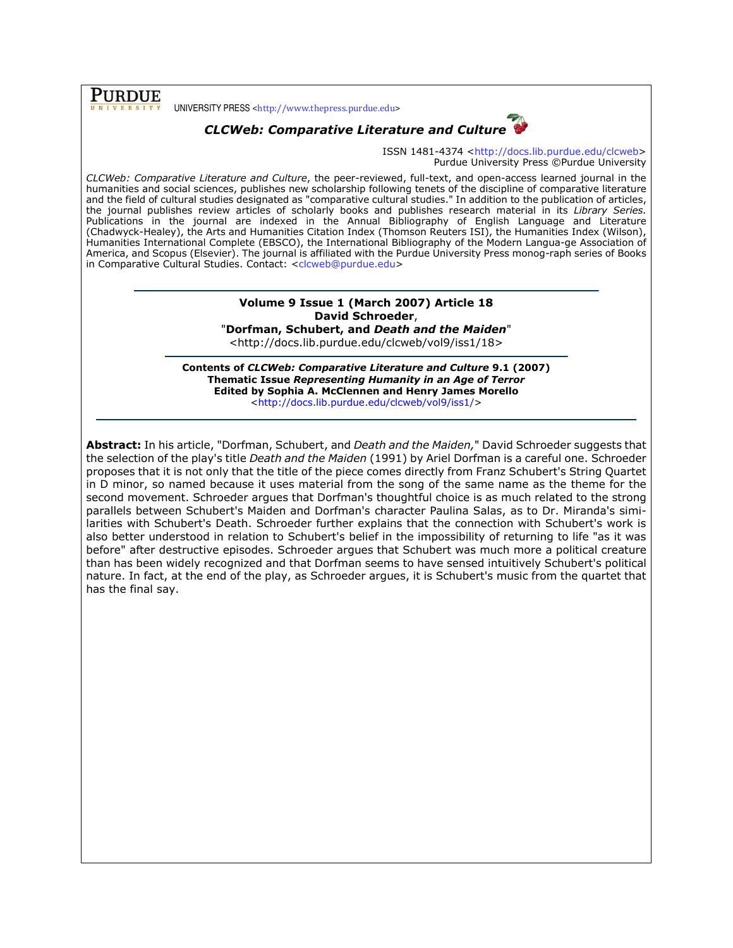PURDUE UNIVERSITY PRESS <http://www.thepress.purdue.edu>



ISSN 1481-4374 <http://docs.lib.purdue.edu/clcweb> Purdue University Press ©Purdue University

CLCWeb: Comparative Literature and Culture, the peer-reviewed, full-text, and open-access learned journal in the humanities and social sciences, publishes new scholarship following tenets of the discipline of comparative literature and the field of cultural studies designated as "comparative cultural studies." In addition to the publication of articles, the journal publishes review articles of scholarly books and publishes research material in its Library Series. Publications in the journal are indexed in the Annual Bibliography of English Language and Literature (Chadwyck-Healey), the Arts and Humanities Citation Index (Thomson Reuters ISI), the Humanities Index (Wilson), Humanities International Complete (EBSCO), the International Bibliography of the Modern Langua-ge Association of America, and Scopus (Elsevier). The journal is affiliated with the Purdue University Press monog-raph series of Books in Comparative Cultural Studies. Contact: <clcweb@purdue.edu>

## Volume 9 Issue 1 (March 2007) Article 18 David Schroeder, "Dorfman, Schubert, and Death and the Maiden"

<http://docs.lib.purdue.edu/clcweb/vol9/iss1/18>

Contents of CLCWeb: Comparative Literature and Culture 9.1 (2007) Thematic Issue Representing Humanity in an Age of Terror Edited by Sophia A. McClennen and Henry James Morello <http://docs.lib.purdue.edu/clcweb/vol9/iss1/>

Abstract: In his article, "Dorfman, Schubert, and Death and the Maiden," David Schroeder suggests that the selection of the play's title *Death and the Maiden* (1991) by Ariel Dorfman is a careful one. Schroeder proposes that it is not only that the title of the piece comes directly from Franz Schubert's String Quartet in D minor, so named because it uses material from the song of the same name as the theme for the second movement. Schroeder argues that Dorfman's thoughtful choice is as much related to the strong parallels between Schubert's Maiden and Dorfman's character Paulina Salas, as to Dr. Miranda's similarities with Schubert's Death. Schroeder further explains that the connection with Schubert's work is also better understood in relation to Schubert's belief in the impossibility of returning to life "as it was before" after destructive episodes. Schroeder argues that Schubert was much more a political creature than has been widely recognized and that Dorfman seems to have sensed intuitively Schubert's political nature. In fact, at the end of the play, as Schroeder argues, it is Schubert's music from the quartet that has the final say.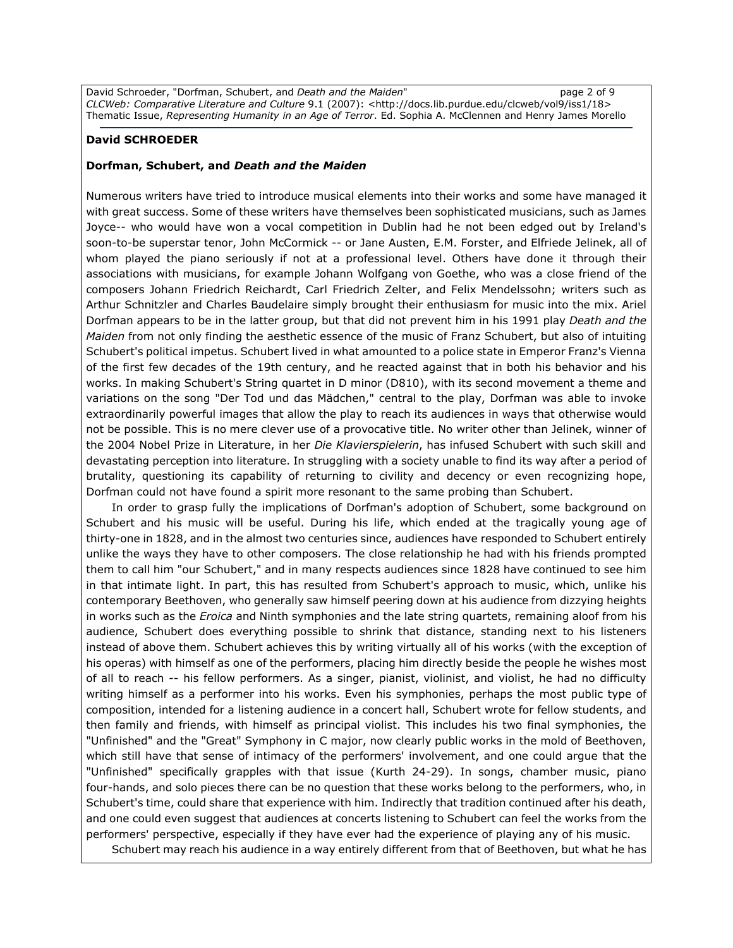David Schroeder, "Dorfman, Schubert, and Death and the Maiden" example 2 of 9 CLCWeb: Comparative Literature and Culture 9.1 (2007): <http://docs.lib.purdue.edu/clcweb/vol9/iss1/18> Thematic Issue, Representing Humanity in an Age of Terror. Ed. Sophia A. McClennen and Henry James Morello

### David SCHROEDER

#### Dorfman, Schubert, and Death and the Maiden

Numerous writers have tried to introduce musical elements into their works and some have managed it with great success. Some of these writers have themselves been sophisticated musicians, such as James Joyce-- who would have won a vocal competition in Dublin had he not been edged out by Ireland's soon-to-be superstar tenor, John McCormick -- or Jane Austen, E.M. Forster, and Elfriede Jelinek, all of whom played the piano seriously if not at a professional level. Others have done it through their associations with musicians, for example Johann Wolfgang von Goethe, who was a close friend of the composers Johann Friedrich Reichardt, Carl Friedrich Zelter, and Felix Mendelssohn; writers such as Arthur Schnitzler and Charles Baudelaire simply brought their enthusiasm for music into the mix. Ariel Dorfman appears to be in the latter group, but that did not prevent him in his 1991 play Death and the Maiden from not only finding the aesthetic essence of the music of Franz Schubert, but also of intuiting Schubert's political impetus. Schubert lived in what amounted to a police state in Emperor Franz's Vienna of the first few decades of the 19th century, and he reacted against that in both his behavior and his works. In making Schubert's String quartet in D minor (D810), with its second movement a theme and variations on the song "Der Tod und das Mädchen," central to the play, Dorfman was able to invoke extraordinarily powerful images that allow the play to reach its audiences in ways that otherwise would not be possible. This is no mere clever use of a provocative title. No writer other than Jelinek, winner of the 2004 Nobel Prize in Literature, in her *Die Klavierspielerin*, has infused Schubert with such skill and devastating perception into literature. In struggling with a society unable to find its way after a period of brutality, questioning its capability of returning to civility and decency or even recognizing hope, Dorfman could not have found a spirit more resonant to the same probing than Schubert.

 In order to grasp fully the implications of Dorfman's adoption of Schubert, some background on Schubert and his music will be useful. During his life, which ended at the tragically young age of thirty-one in 1828, and in the almost two centuries since, audiences have responded to Schubert entirely unlike the ways they have to other composers. The close relationship he had with his friends prompted them to call him "our Schubert," and in many respects audiences since 1828 have continued to see him in that intimate light. In part, this has resulted from Schubert's approach to music, which, unlike his contemporary Beethoven, who generally saw himself peering down at his audience from dizzying heights in works such as the *Eroica* and Ninth symphonies and the late string quartets, remaining aloof from his audience, Schubert does everything possible to shrink that distance, standing next to his listeners instead of above them. Schubert achieves this by writing virtually all of his works (with the exception of his operas) with himself as one of the performers, placing him directly beside the people he wishes most of all to reach -- his fellow performers. As a singer, pianist, violinist, and violist, he had no difficulty writing himself as a performer into his works. Even his symphonies, perhaps the most public type of composition, intended for a listening audience in a concert hall, Schubert wrote for fellow students, and then family and friends, with himself as principal violist. This includes his two final symphonies, the "Unfinished" and the "Great" Symphony in C major, now clearly public works in the mold of Beethoven, which still have that sense of intimacy of the performers' involvement, and one could argue that the "Unfinished" specifically grapples with that issue (Kurth 24-29). In songs, chamber music, piano four-hands, and solo pieces there can be no question that these works belong to the performers, who, in Schubert's time, could share that experience with him. Indirectly that tradition continued after his death, and one could even suggest that audiences at concerts listening to Schubert can feel the works from the performers' perspective, especially if they have ever had the experience of playing any of his music.

Schubert may reach his audience in a way entirely different from that of Beethoven, but what he has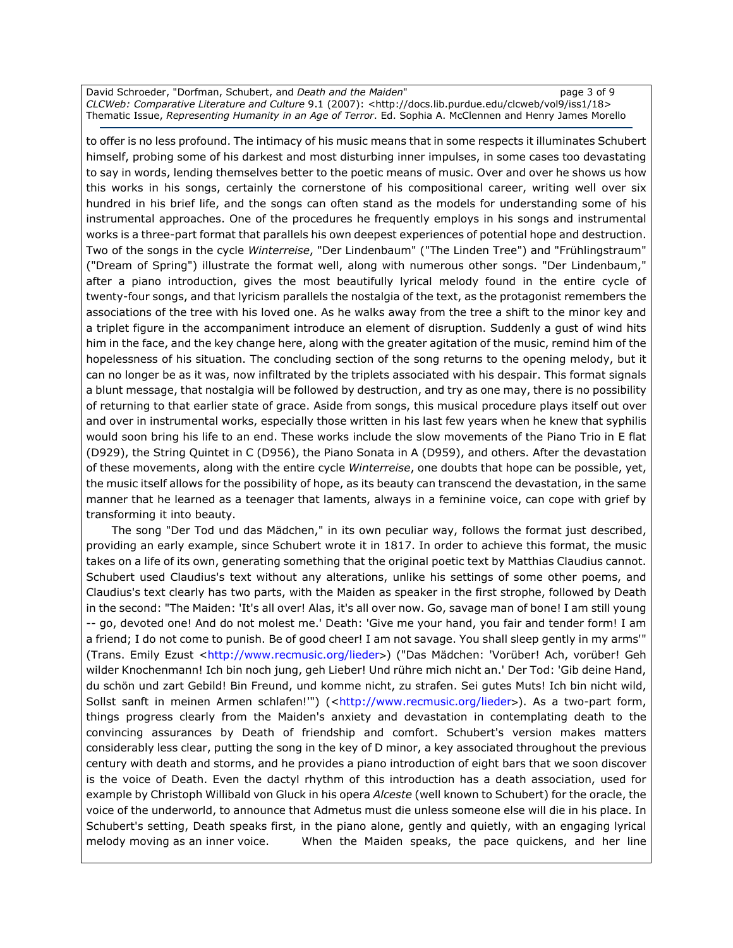David Schroeder, "Dorfman, Schubert, and Death and the Maiden" example 3 of 9 CLCWeb: Comparative Literature and Culture 9.1 (2007): <http://docs.lib.purdue.edu/clcweb/vol9/iss1/18> Thematic Issue, Representing Humanity in an Age of Terror. Ed. Sophia A. McClennen and Henry James Morello

to offer is no less profound. The intimacy of his music means that in some respects it illuminates Schubert himself, probing some of his darkest and most disturbing inner impulses, in some cases too devastating to say in words, lending themselves better to the poetic means of music. Over and over he shows us how this works in his songs, certainly the cornerstone of his compositional career, writing well over six hundred in his brief life, and the songs can often stand as the models for understanding some of his instrumental approaches. One of the procedures he frequently employs in his songs and instrumental works is a three-part format that parallels his own deepest experiences of potential hope and destruction. Two of the songs in the cycle Winterreise, "Der Lindenbaum" ("The Linden Tree") and "Frühlingstraum" ("Dream of Spring") illustrate the format well, along with numerous other songs. "Der Lindenbaum," after a piano introduction, gives the most beautifully lyrical melody found in the entire cycle of twenty-four songs, and that lyricism parallels the nostalgia of the text, as the protagonist remembers the associations of the tree with his loved one. As he walks away from the tree a shift to the minor key and a triplet figure in the accompaniment introduce an element of disruption. Suddenly a gust of wind hits him in the face, and the key change here, along with the greater agitation of the music, remind him of the hopelessness of his situation. The concluding section of the song returns to the opening melody, but it can no longer be as it was, now infiltrated by the triplets associated with his despair. This format signals a blunt message, that nostalgia will be followed by destruction, and try as one may, there is no possibility of returning to that earlier state of grace. Aside from songs, this musical procedure plays itself out over and over in instrumental works, especially those written in his last few years when he knew that syphilis would soon bring his life to an end. These works include the slow movements of the Piano Trio in E flat (D929), the String Quintet in C (D956), the Piano Sonata in A (D959), and others. After the devastation of these movements, along with the entire cycle Winterreise, one doubts that hope can be possible, yet, the music itself allows for the possibility of hope, as its beauty can transcend the devastation, in the same manner that he learned as a teenager that laments, always in a feminine voice, can cope with grief by transforming it into beauty.

 The song "Der Tod und das Mädchen," in its own peculiar way, follows the format just described, providing an early example, since Schubert wrote it in 1817. In order to achieve this format, the music takes on a life of its own, generating something that the original poetic text by Matthias Claudius cannot. Schubert used Claudius's text without any alterations, unlike his settings of some other poems, and Claudius's text clearly has two parts, with the Maiden as speaker in the first strophe, followed by Death in the second: "The Maiden: 'It's all over! Alas, it's all over now. Go, savage man of bone! I am still young -- go, devoted one! And do not molest me.' Death: 'Give me your hand, you fair and tender form! I am a friend; I do not come to punish. Be of good cheer! I am not savage. You shall sleep gently in my arms'" (Trans. Emily Ezust <http://www.recmusic.org/lieder>) ("Das Mädchen: 'Vorüber! Ach, vorüber! Geh wilder Knochenmann! Ich bin noch jung, geh Lieber! Und rühre mich nicht an.' Der Tod: 'Gib deine Hand, du schön und zart Gebild! Bin Freund, und komme nicht, zu strafen. Sei gutes Muts! Ich bin nicht wild, Sollst sanft in meinen Armen schlafen!"") (<http://www.recmusic.org/lieder>). As a two-part form, things progress clearly from the Maiden's anxiety and devastation in contemplating death to the convincing assurances by Death of friendship and comfort. Schubert's version makes matters considerably less clear, putting the song in the key of D minor, a key associated throughout the previous century with death and storms, and he provides a piano introduction of eight bars that we soon discover is the voice of Death. Even the dactyl rhythm of this introduction has a death association, used for example by Christoph Willibald von Gluck in his opera Alceste (well known to Schubert) for the oracle, the voice of the underworld, to announce that Admetus must die unless someone else will die in his place. In Schubert's setting, Death speaks first, in the piano alone, gently and quietly, with an engaging lyrical melody moving as an inner voice. When the Maiden speaks, the pace quickens, and her line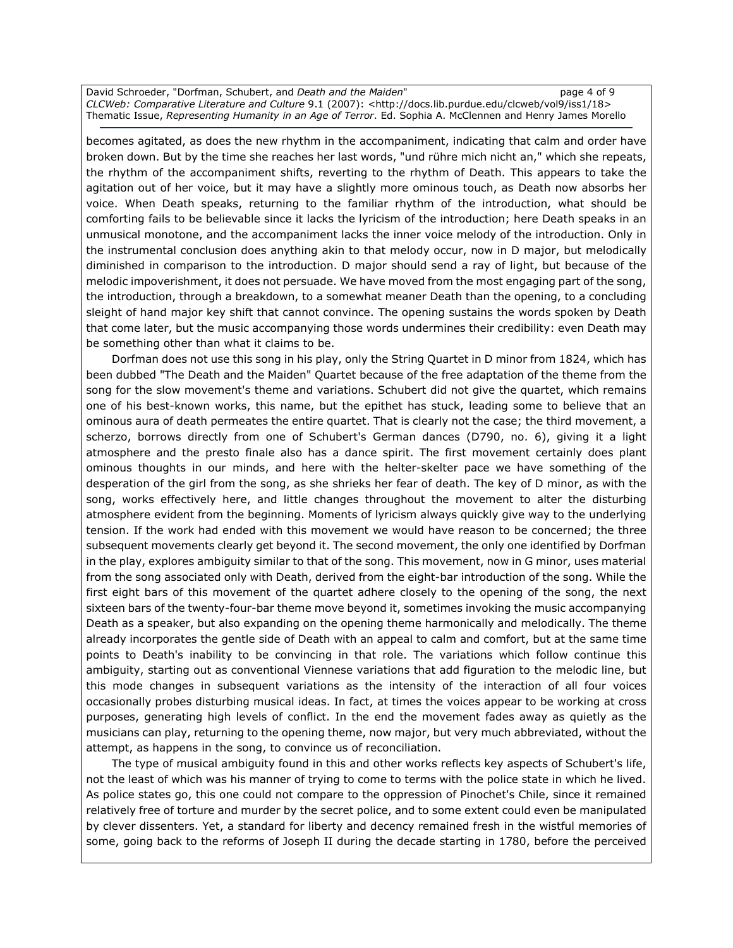David Schroeder, "Dorfman, Schubert, and Death and the Maiden" example to the same page 4 of 9 CLCWeb: Comparative Literature and Culture 9.1 (2007): <http://docs.lib.purdue.edu/clcweb/vol9/iss1/18> Thematic Issue, Representing Humanity in an Age of Terror. Ed. Sophia A. McClennen and Henry James Morello

becomes agitated, as does the new rhythm in the accompaniment, indicating that calm and order have broken down. But by the time she reaches her last words, "und rühre mich nicht an," which she repeats, the rhythm of the accompaniment shifts, reverting to the rhythm of Death. This appears to take the agitation out of her voice, but it may have a slightly more ominous touch, as Death now absorbs her voice. When Death speaks, returning to the familiar rhythm of the introduction, what should be comforting fails to be believable since it lacks the lyricism of the introduction; here Death speaks in an unmusical monotone, and the accompaniment lacks the inner voice melody of the introduction. Only in the instrumental conclusion does anything akin to that melody occur, now in D major, but melodically diminished in comparison to the introduction. D major should send a ray of light, but because of the melodic impoverishment, it does not persuade. We have moved from the most engaging part of the song, the introduction, through a breakdown, to a somewhat meaner Death than the opening, to a concluding sleight of hand major key shift that cannot convince. The opening sustains the words spoken by Death that come later, but the music accompanying those words undermines their credibility: even Death may be something other than what it claims to be.

 Dorfman does not use this song in his play, only the String Quartet in D minor from 1824, which has been dubbed "The Death and the Maiden" Quartet because of the free adaptation of the theme from the song for the slow movement's theme and variations. Schubert did not give the quartet, which remains one of his best-known works, this name, but the epithet has stuck, leading some to believe that an ominous aura of death permeates the entire quartet. That is clearly not the case; the third movement, a scherzo, borrows directly from one of Schubert's German dances (D790, no. 6), giving it a light atmosphere and the presto finale also has a dance spirit. The first movement certainly does plant ominous thoughts in our minds, and here with the helter-skelter pace we have something of the desperation of the girl from the song, as she shrieks her fear of death. The key of D minor, as with the song, works effectively here, and little changes throughout the movement to alter the disturbing atmosphere evident from the beginning. Moments of lyricism always quickly give way to the underlying tension. If the work had ended with this movement we would have reason to be concerned; the three subsequent movements clearly get beyond it. The second movement, the only one identified by Dorfman in the play, explores ambiguity similar to that of the song. This movement, now in G minor, uses material from the song associated only with Death, derived from the eight-bar introduction of the song. While the first eight bars of this movement of the quartet adhere closely to the opening of the song, the next sixteen bars of the twenty-four-bar theme move beyond it, sometimes invoking the music accompanying Death as a speaker, but also expanding on the opening theme harmonically and melodically. The theme already incorporates the gentle side of Death with an appeal to calm and comfort, but at the same time points to Death's inability to be convincing in that role. The variations which follow continue this ambiguity, starting out as conventional Viennese variations that add figuration to the melodic line, but this mode changes in subsequent variations as the intensity of the interaction of all four voices occasionally probes disturbing musical ideas. In fact, at times the voices appear to be working at cross purposes, generating high levels of conflict. In the end the movement fades away as quietly as the musicians can play, returning to the opening theme, now major, but very much abbreviated, without the attempt, as happens in the song, to convince us of reconciliation.

 The type of musical ambiguity found in this and other works reflects key aspects of Schubert's life, not the least of which was his manner of trying to come to terms with the police state in which he lived. As police states go, this one could not compare to the oppression of Pinochet's Chile, since it remained relatively free of torture and murder by the secret police, and to some extent could even be manipulated by clever dissenters. Yet, a standard for liberty and decency remained fresh in the wistful memories of some, going back to the reforms of Joseph II during the decade starting in 1780, before the perceived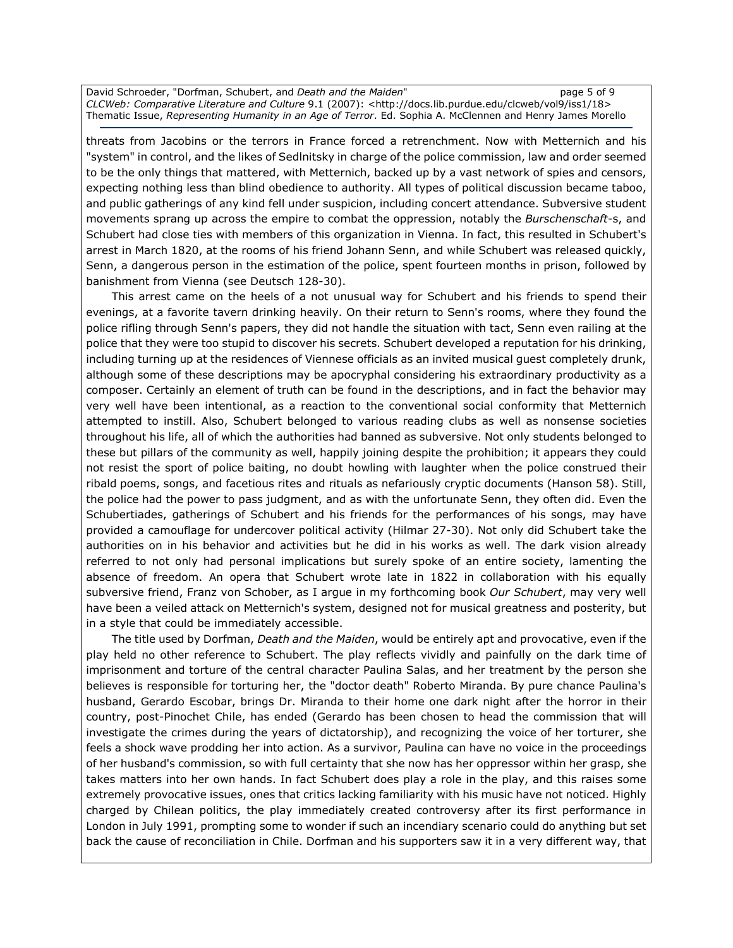David Schroeder, "Dorfman, Schubert, and Death and the Maiden" example 5 of 9 CLCWeb: Comparative Literature and Culture 9.1 (2007): <http://docs.lib.purdue.edu/clcweb/vol9/iss1/18> Thematic Issue, Representing Humanity in an Age of Terror. Ed. Sophia A. McClennen and Henry James Morello

threats from Jacobins or the terrors in France forced a retrenchment. Now with Metternich and his "system" in control, and the likes of Sedlnitsky in charge of the police commission, law and order seemed to be the only things that mattered, with Metternich, backed up by a vast network of spies and censors, expecting nothing less than blind obedience to authority. All types of political discussion became taboo, and public gatherings of any kind fell under suspicion, including concert attendance. Subversive student movements sprang up across the empire to combat the oppression, notably the Burschenschaft-s, and Schubert had close ties with members of this organization in Vienna. In fact, this resulted in Schubert's arrest in March 1820, at the rooms of his friend Johann Senn, and while Schubert was released quickly, Senn, a dangerous person in the estimation of the police, spent fourteen months in prison, followed by banishment from Vienna (see Deutsch 128-30).

 This arrest came on the heels of a not unusual way for Schubert and his friends to spend their evenings, at a favorite tavern drinking heavily. On their return to Senn's rooms, where they found the police rifling through Senn's papers, they did not handle the situation with tact, Senn even railing at the police that they were too stupid to discover his secrets. Schubert developed a reputation for his drinking, including turning up at the residences of Viennese officials as an invited musical guest completely drunk, although some of these descriptions may be apocryphal considering his extraordinary productivity as a composer. Certainly an element of truth can be found in the descriptions, and in fact the behavior may very well have been intentional, as a reaction to the conventional social conformity that Metternich attempted to instill. Also, Schubert belonged to various reading clubs as well as nonsense societies throughout his life, all of which the authorities had banned as subversive. Not only students belonged to these but pillars of the community as well, happily joining despite the prohibition; it appears they could not resist the sport of police baiting, no doubt howling with laughter when the police construed their ribald poems, songs, and facetious rites and rituals as nefariously cryptic documents (Hanson 58). Still, the police had the power to pass judgment, and as with the unfortunate Senn, they often did. Even the Schubertiades, gatherings of Schubert and his friends for the performances of his songs, may have provided a camouflage for undercover political activity (Hilmar 27-30). Not only did Schubert take the authorities on in his behavior and activities but he did in his works as well. The dark vision already referred to not only had personal implications but surely spoke of an entire society, lamenting the absence of freedom. An opera that Schubert wrote late in 1822 in collaboration with his equally subversive friend, Franz von Schober, as I argue in my forthcoming book Our Schubert, may very well have been a veiled attack on Metternich's system, designed not for musical greatness and posterity, but in a style that could be immediately accessible.

The title used by Dorfman, Death and the Maiden, would be entirely apt and provocative, even if the play held no other reference to Schubert. The play reflects vividly and painfully on the dark time of imprisonment and torture of the central character Paulina Salas, and her treatment by the person she believes is responsible for torturing her, the "doctor death" Roberto Miranda. By pure chance Paulina's husband, Gerardo Escobar, brings Dr. Miranda to their home one dark night after the horror in their country, post-Pinochet Chile, has ended (Gerardo has been chosen to head the commission that will investigate the crimes during the years of dictatorship), and recognizing the voice of her torturer, she feels a shock wave prodding her into action. As a survivor, Paulina can have no voice in the proceedings of her husband's commission, so with full certainty that she now has her oppressor within her grasp, she takes matters into her own hands. In fact Schubert does play a role in the play, and this raises some extremely provocative issues, ones that critics lacking familiarity with his music have not noticed. Highly charged by Chilean politics, the play immediately created controversy after its first performance in London in July 1991, prompting some to wonder if such an incendiary scenario could do anything but set back the cause of reconciliation in Chile. Dorfman and his supporters saw it in a very different way, that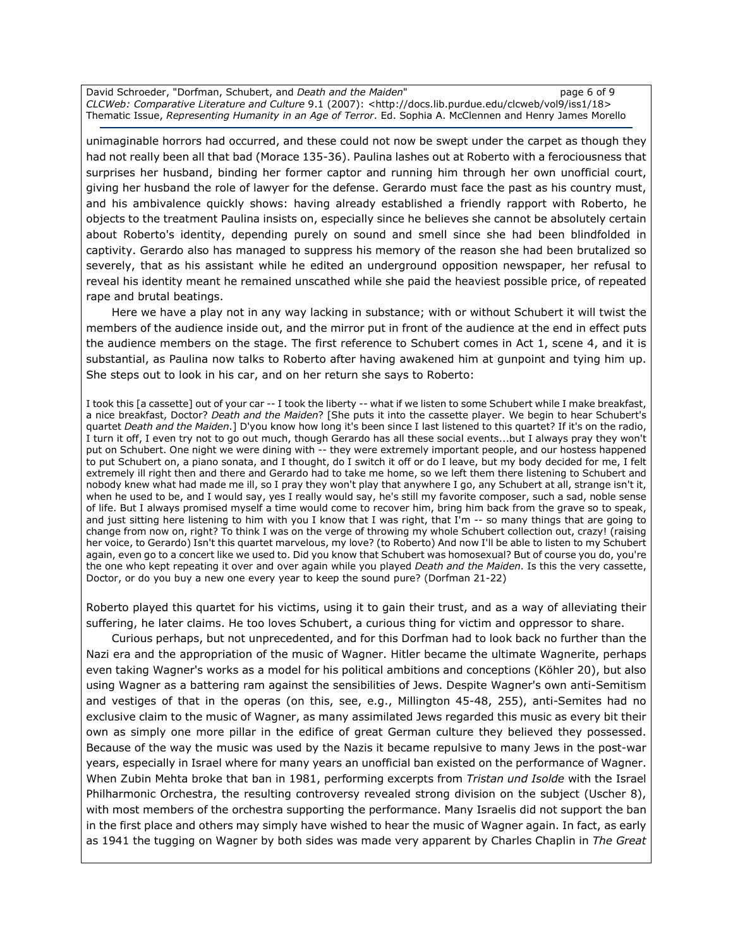David Schroeder, "Dorfman, Schubert, and Death and the Maiden" example to the page 6 of 9 CLCWeb: Comparative Literature and Culture 9.1 (2007): <http://docs.lib.purdue.edu/clcweb/vol9/iss1/18> Thematic Issue, Representing Humanity in an Age of Terror. Ed. Sophia A. McClennen and Henry James Morello

unimaginable horrors had occurred, and these could not now be swept under the carpet as though they had not really been all that bad (Morace 135-36). Paulina lashes out at Roberto with a ferociousness that surprises her husband, binding her former captor and running him through her own unofficial court, giving her husband the role of lawyer for the defense. Gerardo must face the past as his country must, and his ambivalence quickly shows: having already established a friendly rapport with Roberto, he objects to the treatment Paulina insists on, especially since he believes she cannot be absolutely certain about Roberto's identity, depending purely on sound and smell since she had been blindfolded in captivity. Gerardo also has managed to suppress his memory of the reason she had been brutalized so severely, that as his assistant while he edited an underground opposition newspaper, her refusal to reveal his identity meant he remained unscathed while she paid the heaviest possible price, of repeated rape and brutal beatings.

 Here we have a play not in any way lacking in substance; with or without Schubert it will twist the members of the audience inside out, and the mirror put in front of the audience at the end in effect puts the audience members on the stage. The first reference to Schubert comes in Act 1, scene 4, and it is substantial, as Paulina now talks to Roberto after having awakened him at gunpoint and tying him up. She steps out to look in his car, and on her return she says to Roberto:

I took this [a cassette] out of your car -- I took the liberty -- what if we listen to some Schubert while I make breakfast, a nice breakfast, Doctor? Death and the Maiden? [She puts it into the cassette player. We begin to hear Schubert's quartet Death and the Maiden.] D'you know how long it's been since I last listened to this quartet? If it's on the radio, I turn it off, I even try not to go out much, though Gerardo has all these social events...but I always pray they won't put on Schubert. One night we were dining with -- they were extremely important people, and our hostess happened to put Schubert on, a piano sonata, and I thought, do I switch it off or do I leave, but my body decided for me, I felt extremely ill right then and there and Gerardo had to take me home, so we left them there listening to Schubert and nobody knew what had made me ill, so I pray they won't play that anywhere I go, any Schubert at all, strange isn't it, when he used to be, and I would say, yes I really would say, he's still my favorite composer, such a sad, noble sense of life. But I always promised myself a time would come to recover him, bring him back from the grave so to speak, and just sitting here listening to him with you I know that I was right, that I'm -- so many things that are going to change from now on, right? To think I was on the verge of throwing my whole Schubert collection out, crazy! (raising her voice, to Gerardo) Isn't this quartet marvelous, my love? (to Roberto) And now I'll be able to listen to my Schubert again, even go to a concert like we used to. Did you know that Schubert was homosexual? But of course you do, you're the one who kept repeating it over and over again while you played Death and the Maiden. Is this the very cassette, Doctor, or do you buy a new one every year to keep the sound pure? (Dorfman 21-22)

Roberto played this quartet for his victims, using it to gain their trust, and as a way of alleviating their suffering, he later claims. He too loves Schubert, a curious thing for victim and oppressor to share.

 Curious perhaps, but not unprecedented, and for this Dorfman had to look back no further than the Nazi era and the appropriation of the music of Wagner. Hitler became the ultimate Wagnerite, perhaps even taking Wagner's works as a model for his political ambitions and conceptions (Köhler 20), but also using Wagner as a battering ram against the sensibilities of Jews. Despite Wagner's own anti-Semitism and vestiges of that in the operas (on this, see, e.g., Millington 45-48, 255), anti-Semites had no exclusive claim to the music of Wagner, as many assimilated Jews regarded this music as every bit their own as simply one more pillar in the edifice of great German culture they believed they possessed. Because of the way the music was used by the Nazis it became repulsive to many Jews in the post-war years, especially in Israel where for many years an unofficial ban existed on the performance of Wagner. When Zubin Mehta broke that ban in 1981, performing excerpts from Tristan und Isolde with the Israel Philharmonic Orchestra, the resulting controversy revealed strong division on the subject (Uscher 8), with most members of the orchestra supporting the performance. Many Israelis did not support the ban in the first place and others may simply have wished to hear the music of Wagner again. In fact, as early as 1941 the tugging on Wagner by both sides was made very apparent by Charles Chaplin in The Great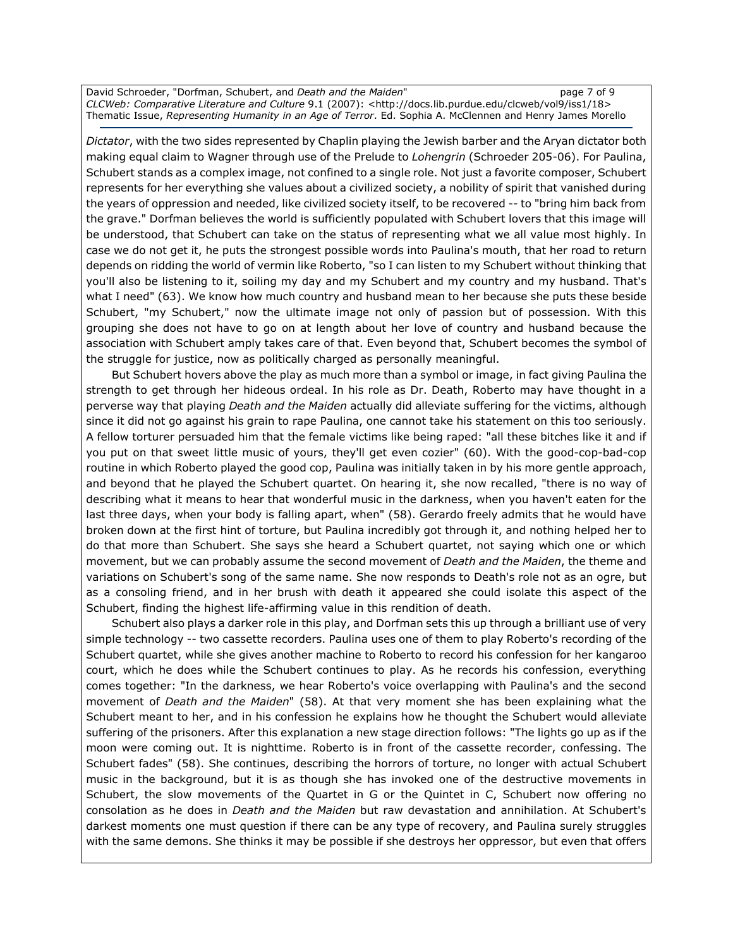David Schroeder, "Dorfman, Schubert, and Death and the Maiden" example 2 of 9 CLCWeb: Comparative Literature and Culture 9.1 (2007): <http://docs.lib.purdue.edu/clcweb/vol9/iss1/18> Thematic Issue, Representing Humanity in an Age of Terror. Ed. Sophia A. McClennen and Henry James Morello

Dictator, with the two sides represented by Chaplin playing the Jewish barber and the Aryan dictator both making equal claim to Wagner through use of the Prelude to *Lohengrin* (Schroeder 205-06). For Paulina, Schubert stands as a complex image, not confined to a single role. Not just a favorite composer, Schubert represents for her everything she values about a civilized society, a nobility of spirit that vanished during the years of oppression and needed, like civilized society itself, to be recovered -- to "bring him back from the grave." Dorfman believes the world is sufficiently populated with Schubert lovers that this image will be understood, that Schubert can take on the status of representing what we all value most highly. In case we do not get it, he puts the strongest possible words into Paulina's mouth, that her road to return depends on ridding the world of vermin like Roberto, "so I can listen to my Schubert without thinking that you'll also be listening to it, soiling my day and my Schubert and my country and my husband. That's what I need" (63). We know how much country and husband mean to her because she puts these beside Schubert, "my Schubert," now the ultimate image not only of passion but of possession. With this grouping she does not have to go on at length about her love of country and husband because the association with Schubert amply takes care of that. Even beyond that, Schubert becomes the symbol of the struggle for justice, now as politically charged as personally meaningful.

 But Schubert hovers above the play as much more than a symbol or image, in fact giving Paulina the strength to get through her hideous ordeal. In his role as Dr. Death, Roberto may have thought in a perverse way that playing Death and the Maiden actually did alleviate suffering for the victims, although since it did not go against his grain to rape Paulina, one cannot take his statement on this too seriously. A fellow torturer persuaded him that the female victims like being raped: "all these bitches like it and if you put on that sweet little music of yours, they'll get even cozier" (60). With the good-cop-bad-cop routine in which Roberto played the good cop, Paulina was initially taken in by his more gentle approach, and beyond that he played the Schubert quartet. On hearing it, she now recalled, "there is no way of describing what it means to hear that wonderful music in the darkness, when you haven't eaten for the last three days, when your body is falling apart, when" (58). Gerardo freely admits that he would have broken down at the first hint of torture, but Paulina incredibly got through it, and nothing helped her to do that more than Schubert. She says she heard a Schubert quartet, not saying which one or which movement, but we can probably assume the second movement of Death and the Maiden, the theme and variations on Schubert's song of the same name. She now responds to Death's role not as an ogre, but as a consoling friend, and in her brush with death it appeared she could isolate this aspect of the Schubert, finding the highest life-affirming value in this rendition of death.

 Schubert also plays a darker role in this play, and Dorfman sets this up through a brilliant use of very simple technology -- two cassette recorders. Paulina uses one of them to play Roberto's recording of the Schubert quartet, while she gives another machine to Roberto to record his confession for her kangaroo court, which he does while the Schubert continues to play. As he records his confession, everything comes together: "In the darkness, we hear Roberto's voice overlapping with Paulina's and the second movement of Death and the Maiden" (58). At that very moment she has been explaining what the Schubert meant to her, and in his confession he explains how he thought the Schubert would alleviate suffering of the prisoners. After this explanation a new stage direction follows: "The lights go up as if the moon were coming out. It is nighttime. Roberto is in front of the cassette recorder, confessing. The Schubert fades" (58). She continues, describing the horrors of torture, no longer with actual Schubert music in the background, but it is as though she has invoked one of the destructive movements in Schubert, the slow movements of the Quartet in G or the Quintet in C, Schubert now offering no consolation as he does in *Death and the Maiden* but raw devastation and annihilation. At Schubert's darkest moments one must question if there can be any type of recovery, and Paulina surely struggles with the same demons. She thinks it may be possible if she destroys her oppressor, but even that offers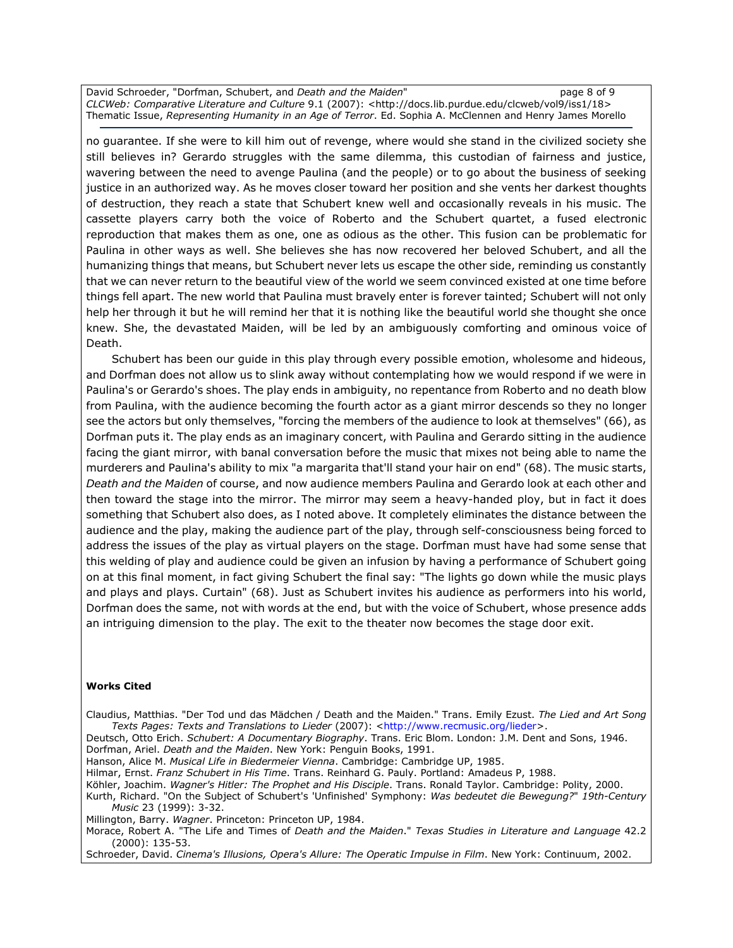David Schroeder, "Dorfman, Schubert, and Death and the Maiden" example to the same 8 of 9 CLCWeb: Comparative Literature and Culture 9.1 (2007): <http://docs.lib.purdue.edu/clcweb/vol9/iss1/18> Thematic Issue, Representing Humanity in an Age of Terror. Ed. Sophia A. McClennen and Henry James Morello

no guarantee. If she were to kill him out of revenge, where would she stand in the civilized society she still believes in? Gerardo struggles with the same dilemma, this custodian of fairness and justice, wavering between the need to avenge Paulina (and the people) or to go about the business of seeking justice in an authorized way. As he moves closer toward her position and she vents her darkest thoughts of destruction, they reach a state that Schubert knew well and occasionally reveals in his music. The cassette players carry both the voice of Roberto and the Schubert quartet, a fused electronic reproduction that makes them as one, one as odious as the other. This fusion can be problematic for Paulina in other ways as well. She believes she has now recovered her beloved Schubert, and all the humanizing things that means, but Schubert never lets us escape the other side, reminding us constantly that we can never return to the beautiful view of the world we seem convinced existed at one time before things fell apart. The new world that Paulina must bravely enter is forever tainted; Schubert will not only help her through it but he will remind her that it is nothing like the beautiful world she thought she once knew. She, the devastated Maiden, will be led by an ambiguously comforting and ominous voice of Death.

 Schubert has been our guide in this play through every possible emotion, wholesome and hideous, and Dorfman does not allow us to slink away without contemplating how we would respond if we were in Paulina's or Gerardo's shoes. The play ends in ambiguity, no repentance from Roberto and no death blow from Paulina, with the audience becoming the fourth actor as a giant mirror descends so they no longer see the actors but only themselves, "forcing the members of the audience to look at themselves" (66), as Dorfman puts it. The play ends as an imaginary concert, with Paulina and Gerardo sitting in the audience facing the giant mirror, with banal conversation before the music that mixes not being able to name the murderers and Paulina's ability to mix "a margarita that'll stand your hair on end" (68). The music starts, Death and the Maiden of course, and now audience members Paulina and Gerardo look at each other and then toward the stage into the mirror. The mirror may seem a heavy-handed ploy, but in fact it does something that Schubert also does, as I noted above. It completely eliminates the distance between the audience and the play, making the audience part of the play, through self-consciousness being forced to address the issues of the play as virtual players on the stage. Dorfman must have had some sense that this welding of play and audience could be given an infusion by having a performance of Schubert going on at this final moment, in fact giving Schubert the final say: "The lights go down while the music plays and plays and plays. Curtain" (68). Just as Schubert invites his audience as performers into his world, Dorfman does the same, not with words at the end, but with the voice of Schubert, whose presence adds an intriguing dimension to the play. The exit to the theater now becomes the stage door exit.

## Works Cited

Claudius, Matthias. "Der Tod und das Mädchen / Death and the Maiden." Trans. Emily Ezust. The Lied and Art Song Texts Pages: Texts and Translations to Lieder (2007): <http://www.recmusic.org/lieder>.

Deutsch, Otto Erich. Schubert: A Documentary Biography. Trans. Eric Blom. London: J.M. Dent and Sons, 1946. Dorfman, Ariel. Death and the Maiden. New York: Penguin Books, 1991.

Hanson, Alice M. Musical Life in Biedermeier Vienna. Cambridge: Cambridge UP, 1985.

Hilmar, Ernst. Franz Schubert in His Time. Trans. Reinhard G. Pauly. Portland: Amadeus P, 1988.

Köhler, Joachim. Wagner's Hitler: The Prophet and His Disciple. Trans. Ronald Taylor. Cambridge: Polity, 2000.

Kurth, Richard. "On the Subject of Schubert's 'Unfinished' Symphony: Was bedeutet die Bewegung?" 19th-Century Music 23 (1999): 3-32.

Millington, Barry. Wagner. Princeton: Princeton UP, 1984.

Morace, Robert A. "The Life and Times of Death and the Maiden." Texas Studies in Literature and Language 42.2 (2000): 135-53.

Schroeder, David. Cinema's Illusions, Opera's Allure: The Operatic Impulse in Film. New York: Continuum, 2002.